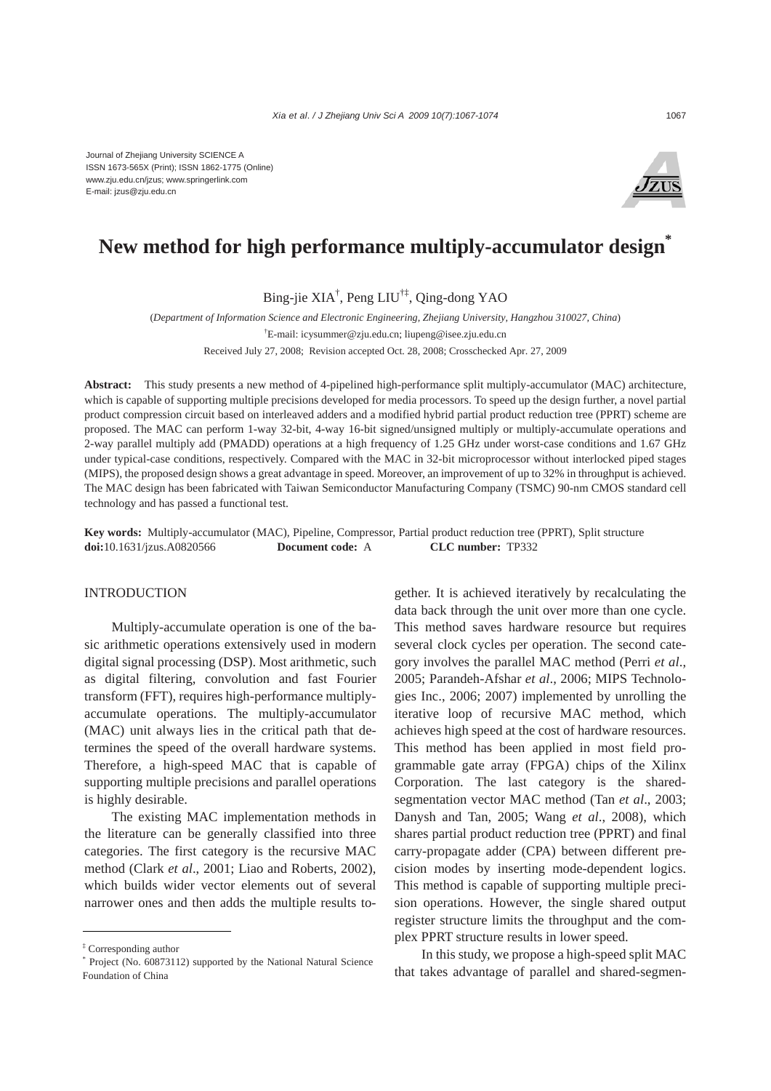Journal of Zhejiang University SCIENCE A ISSN 1673-565X (Print); ISSN 1862-1775 (Online) www.zju.edu.cn/jzus; www.springerlink.com E-mail: jzus@zju.edu.cn



# **New method for high performance multiply-accumulator design\***

Bing-jie XIA† , Peng LIU†‡, Qing-dong YAO

(*Department of Information Science and Electronic Engineering, Zhejiang University, Hangzhou 310027, China*) † E-mail: icysummer@zju.edu.cn; liupeng@isee.zju.edu.cn Received July 27, 2008; Revision accepted Oct. 28, 2008; Crosschecked Apr. 27, 2009

**Abstract:** This study presents a new method of 4-pipelined high-performance split multiply-accumulator (MAC) architecture, which is capable of supporting multiple precisions developed for media processors. To speed up the design further, a novel partial product compression circuit based on interleaved adders and a modified hybrid partial product reduction tree (PPRT) scheme are proposed. The MAC can perform 1-way 32-bit, 4-way 16-bit signed/unsigned multiply or multiply-accumulate operations and 2-way parallel multiply add (PMADD) operations at a high frequency of 1.25 GHz under worst-case conditions and 1.67 GHz under typical-case conditions, respectively. Compared with the MAC in 32-bit microprocessor without interlocked piped stages (MIPS), the proposed design shows a great advantage in speed. Moreover, an improvement of up to 32% in throughput is achieved. The MAC design has been fabricated with Taiwan Semiconductor Manufacturing Company (TSMC) 90-nm CMOS standard cell technology and has passed a functional test.

**Key words:** Multiply-accumulator (MAC), Pipeline, Compressor, Partial product reduction tree (PPRT), Split structure **doi:**10.1631/jzus.A0820566 **Document code:** A **CLC number:** TP332

## INTRODUCTION

Multiply-accumulate operation is one of the basic arithmetic operations extensively used in modern digital signal processing (DSP). Most arithmetic, such as digital filtering, convolution and fast Fourier transform (FFT), requires high-performance multiplyaccumulate operations. The multiply-accumulator (MAC) unit always lies in the critical path that determines the speed of the overall hardware systems. Therefore, a high-speed MAC that is capable of supporting multiple precisions and parallel operations is highly desirable.

The existing MAC implementation methods in the literature can be generally classified into three categories. The first category is the recursive MAC method (Clark *et al*., 2001; Liao and Roberts, 2002), which builds wider vector elements out of several narrower ones and then adds the multiple results together. It is achieved iteratively by recalculating the data back through the unit over more than one cycle. This method saves hardware resource but requires several clock cycles per operation. The second category involves the parallel MAC method (Perri *et al*., 2005; Parandeh-Afshar *et al*., 2006; MIPS Technologies Inc., 2006; 2007) implemented by unrolling the iterative loop of recursive MAC method, which achieves high speed at the cost of hardware resources. This method has been applied in most field programmable gate array (FPGA) chips of the Xilinx Corporation. The last category is the sharedsegmentation vector MAC method (Tan *et al*., 2003; Danysh and Tan, 2005; Wang *et al*., 2008), which shares partial product reduction tree (PPRT) and final carry-propagate adder (CPA) between different precision modes by inserting mode-dependent logics. This method is capable of supporting multiple precision operations. However, the single shared output register structure limits the throughput and the complex PPRT structure results in lower speed.

In this study, we propose a high-speed split MAC that takes advantage of parallel and shared-segmen-

<sup>‡</sup> Corresponding author

<sup>\*</sup> Project (No. 60873112) supported by the National Natural Science Foundation of China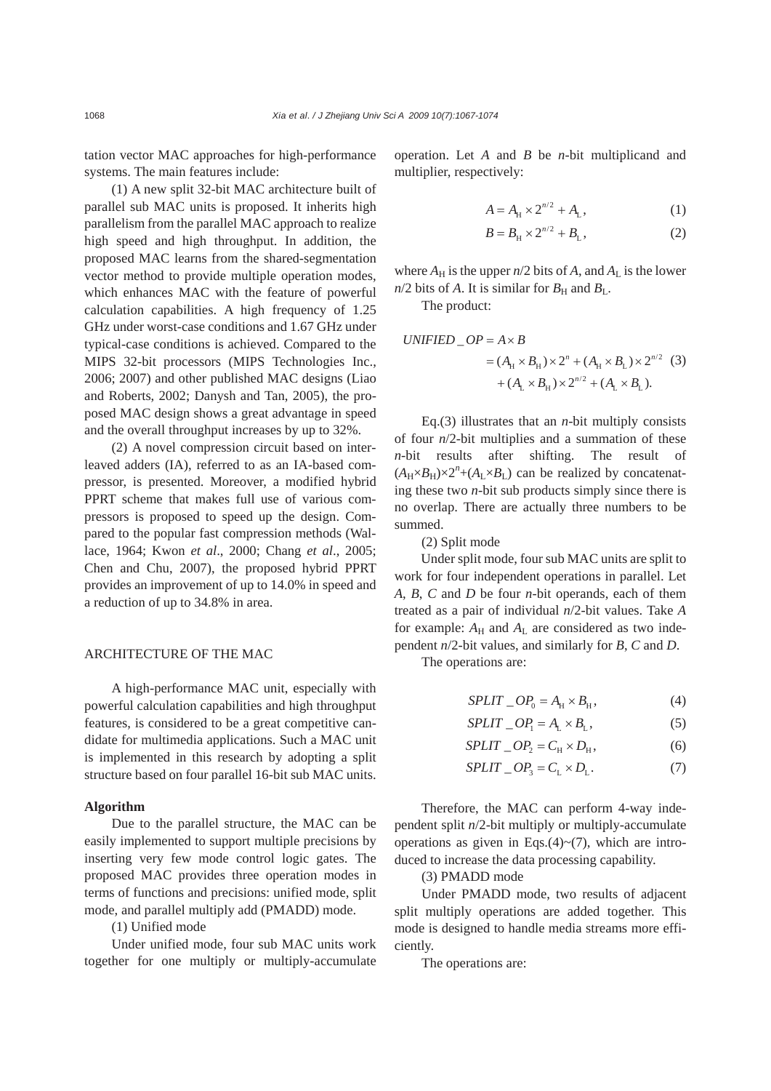tation vector MAC approaches for high-performance systems. The main features include:

(1) A new split 32-bit MAC architecture built of parallel sub MAC units is proposed. It inherits high parallelism from the parallel MAC approach to realize high speed and high throughput. In addition, the proposed MAC learns from the shared-segmentation vector method to provide multiple operation modes, which enhances MAC with the feature of powerful calculation capabilities. A high frequency of 1.25 GHz under worst-case conditions and 1.67 GHz under typical-case conditions is achieved. Compared to the MIPS 32-bit processors (MIPS Technologies Inc., 2006; 2007) and other published MAC designs (Liao and Roberts, 2002; Danysh and Tan, 2005), the proposed MAC design shows a great advantage in speed and the overall throughput increases by up to 32%.

(2) A novel compression circuit based on interleaved adders (IA), referred to as an IA-based compressor, is presented. Moreover, a modified hybrid PPRT scheme that makes full use of various compressors is proposed to speed up the design. Compared to the popular fast compression methods (Wallace, 1964; Kwon *et al*., 2000; Chang *et al*., 2005; Chen and Chu, 2007), the proposed hybrid PPRT provides an improvement of up to 14.0% in speed and a reduction of up to 34.8% in area.

#### ARCHITECTURE OF THE MAC

A high-performance MAC unit, especially with powerful calculation capabilities and high throughput features, is considered to be a great competitive candidate for multimedia applications. Such a MAC unit is implemented in this research by adopting a split structure based on four parallel 16-bit sub MAC units.

#### **Algorithm**

Due to the parallel structure, the MAC can be easily implemented to support multiple precisions by inserting very few mode control logic gates. The proposed MAC provides three operation modes in terms of functions and precisions: unified mode, split mode, and parallel multiply add (PMADD) mode.

(1) Unified mode

Under unified mode, four sub MAC units work together for one multiply or multiply-accumulate operation. Let *A* and *B* be *n*-bit multiplicand and multiplier, respectively:

$$
A = A_{\rm H} \times 2^{n/2} + A_{\rm L}, \tag{1}
$$

$$
B = B_{\rm H} \times 2^{n/2} + B_{\rm L}, \tag{2}
$$

where  $A_H$  is the upper  $n/2$  bits of A, and  $A_L$  is the lower  $n/2$  bits of *A*. It is similar for  $B_H$  and  $B_L$ .

The product:

UNIFIED 
$$
OP = A \times B
$$
  
=  $(A_H \times B_H) \times 2^n + (A_H \times B_L) \times 2^{n/2}$  (3)  
+  $(A_L \times B_H) \times 2^{n/2} + (A_L \times B_L)$ .

Eq.(3) illustrates that an *n*-bit multiply consists of four *n*/2-bit multiplies and a summation of these *n*-bit results after shifting. The result of  $(A_H \times B_H) \times 2^n + (A_L \times B_L)$  can be realized by concatenating these two *n*-bit sub products simply since there is no overlap. There are actually three numbers to be summed.

(2) Split mode

Under split mode, four sub MAC units are split to work for four independent operations in parallel. Let *A*, *B*, *C* and *D* be four *n*-bit operands, each of them treated as a pair of individual *n*/2-bit values. Take *A* for example:  $A_H$  and  $A_L$  are considered as two independent *n*/2-bit values, and similarly for *B*, *C* and *D*.

The operations are:

$$
SPLIT \_OP_0 = A_H \times B_H,\tag{4}
$$

$$
SPLIT \_OP_1 = A_L \times B_L,\tag{5}
$$

$$
SPLIT \_OP_2 = C_{\rm H} \times D_{\rm H},\tag{6}
$$

$$
SPLIT \_OP_3 = C_{\text{L}} \times D_{\text{L}}.\tag{7}
$$

Therefore, the MAC can perform 4-way independent split *n*/2-bit multiply or multiply-accumulate operations as given in Eqs.(4) $\sim$ (7), which are introduced to increase the data processing capability.

(3) PMADD mode

Under PMADD mode, two results of adjacent split multiply operations are added together. This mode is designed to handle media streams more efficiently.

The operations are: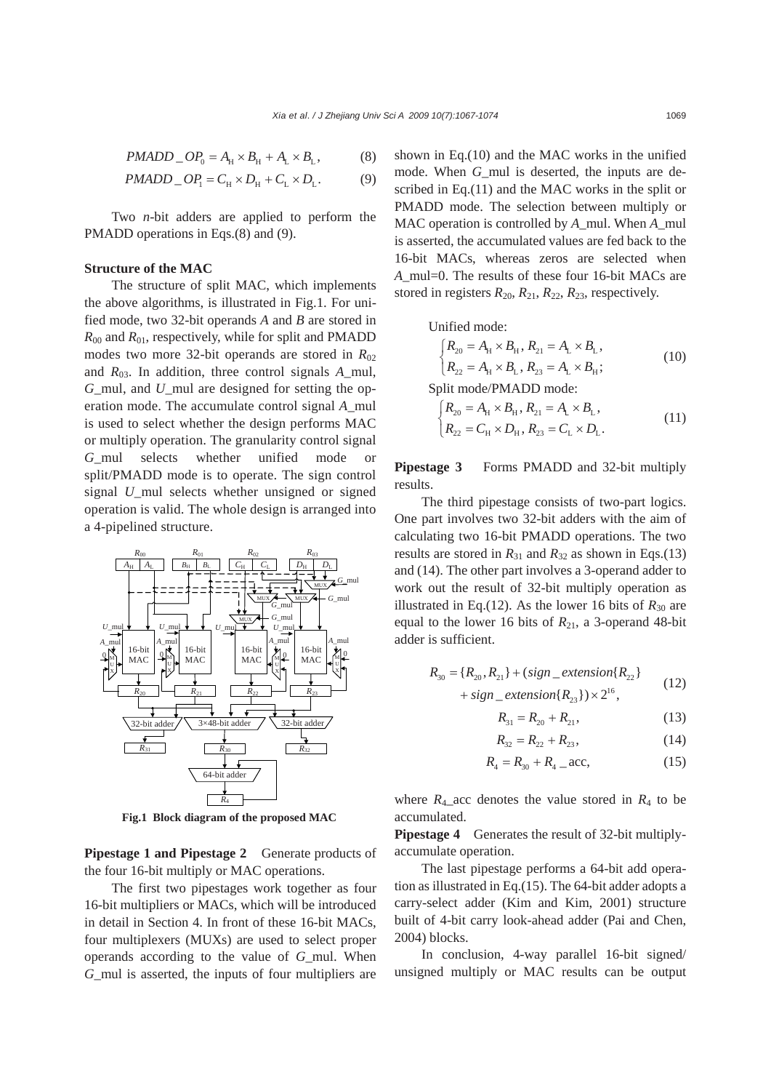$$
PMADD \_OP_0 = A_H \times B_H + A_L \times B_L, \tag{8}
$$

$$
PMADD \_OP_1 = C_H \times D_H + C_L \times D_L. \tag{9}
$$

Two *n*-bit adders are applied to perform the PMADD operations in Eqs.(8) and (9).

## **Structure of the MAC**

The structure of split MAC, which implements the above algorithms, is illustrated in Fig.1. For unified mode, two 32-bit operands *A* and *B* are stored in *R*00 and *R*01, respectively, while for split and PMADD modes two more 32-bit operands are stored in  $R_{02}$ and *R*03. In addition, three control signals *A*\_mul, *G*\_mul, and *U*\_mul are designed for setting the operation mode. The accumulate control signal *A*\_mul is used to select whether the design performs MAC or multiply operation. The granularity control signal *G*\_mul selects whether unified mode or split/PMADD mode is to operate. The sign control signal *U* mul selects whether unsigned or signed operation is valid. The whole design is arranged into a 4-pipelined structure.



**Fig.1 Block diagram of the proposed MAC** 

**Pipestage 1 and Pipestage 2** Generate products of the four 16-bit multiply or MAC operations.

The first two pipestages work together as four 16-bit multipliers or MACs, which will be introduced in detail in Section 4. In front of these 16-bit MACs, four multiplexers (MUXs) are used to select proper operands according to the value of *G*\_mul. When *G*\_mul is asserted, the inputs of four multipliers are

shown in Eq.(10) and the MAC works in the unified mode. When *G*\_mul is deserted, the inputs are described in Eq.(11) and the MAC works in the split or PMADD mode. The selection between multiply or MAC operation is controlled by *A*\_mul. When *A*\_mul is asserted, the accumulated values are fed back to the 16-bit MACs, whereas zeros are selected when *A*\_mul=0. The results of these four 16-bit MACs are stored in registers  $R_{20}$ ,  $R_{21}$ ,  $R_{22}$ ,  $R_{23}$ , respectively.

Unified mode:

$$
\begin{cases} R_{20} = A_{\rm H} \times B_{\rm H}, R_{21} = A_{\rm L} \times B_{\rm L}, \\ R_{22} = A_{\rm H} \times B_{\rm L}, R_{23} = A_{\rm L} \times B_{\rm H}; \end{cases}
$$
(10)

Split mode/PMADD mode:

$$
\begin{cases} R_{20} = A_{\rm H} \times B_{\rm H}, R_{21} = A_{\rm L} \times B_{\rm L}, \\ R_{22} = C_{\rm H} \times D_{\rm H}, R_{23} = C_{\rm L} \times D_{\rm L}. \end{cases} \tag{11}
$$

**Pipestage 3** Forms PMADD and 32-bit multiply results.

The third pipestage consists of two-part logics. One part involves two 32-bit adders with the aim of calculating two 16-bit PMADD operations. The two results are stored in  $R_{31}$  and  $R_{32}$  as shown in Eqs.(13) and (14). The other part involves a 3-operand adder to work out the result of 32-bit multiply operation as illustrated in Eq.(12). As the lower 16 bits of  $R_{30}$  are equal to the lower 16 bits of  $R_{21}$ , a 3-operand 48-bit adder is sufficient.

$$
R_{30} = \{R_{20}, R_{21}\} + (sign\_extension\{R_{22}\}) + sign\_extension\{R_{23}\}) \times 2^{16},
$$
 (12)

$$
R_{31} = R_{20} + R_{21}, \tag{13}
$$

$$
R_{32} = R_{22} + R_{23}, \t\t(14)
$$

$$
R_4 = R_{30} + R_4 = \text{acc},\tag{15}
$$

where  $R_{4\text{-}acc}$  denotes the value stored in  $R_{4}$  to be accumulated.

**Pipestage 4** Generates the result of 32-bit multiplyaccumulate operation.

The last pipestage performs a 64-bit add operation as illustrated in Eq.(15). The 64-bit adder adopts a carry-select adder (Kim and Kim, 2001) structure built of 4-bit carry look-ahead adder (Pai and Chen, 2004) blocks.

In conclusion, 4-way parallel 16-bit signed/ unsigned multiply or MAC results can be output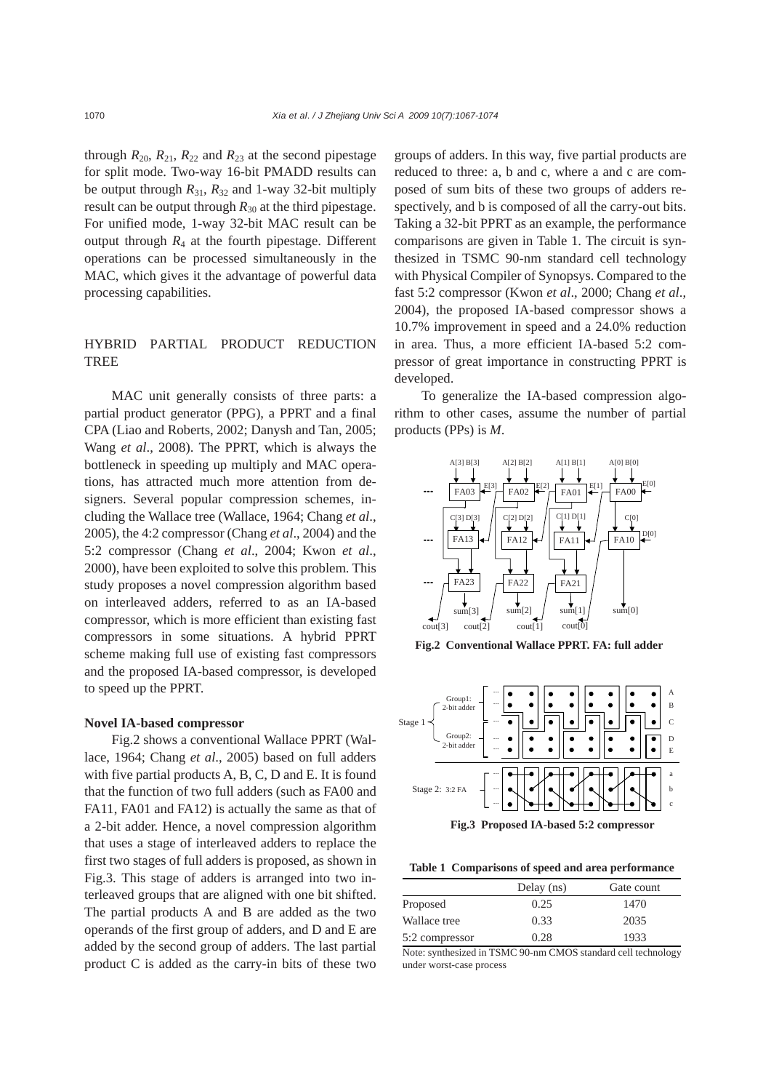through  $R_{20}$ ,  $R_{21}$ ,  $R_{22}$  and  $R_{23}$  at the second pipestage for split mode. Two-way 16-bit PMADD results can be output through  $R_{31}$ ,  $R_{32}$  and 1-way 32-bit multiply result can be output through  $R_{30}$  at the third pipestage. For unified mode, 1-way 32-bit MAC result can be output through  $R_4$  at the fourth pipestage. Different operations can be processed simultaneously in the MAC, which gives it the advantage of powerful data processing capabilities.

# HYBRID PARTIAL PRODUCT REDUCTION TREE

MAC unit generally consists of three parts: a partial product generator (PPG), a PPRT and a final CPA (Liao and Roberts, 2002; Danysh and Tan, 2005; Wang *et al*., 2008). The PPRT, which is always the bottleneck in speeding up multiply and MAC operations, has attracted much more attention from designers. Several popular compression schemes, including the Wallace tree (Wallace, 1964; Chang *et al*., 2005), the 4:2 compressor (Chang *et al*., 2004) and the 5:2 compressor (Chang *et al*., 2004; Kwon *et al*., 2000), have been exploited to solve this problem. This study proposes a novel compression algorithm based on interleaved adders, referred to as an IA-based compressor, which is more efficient than existing fast compressors in some situations. A hybrid PPRT scheme making full use of existing fast compressors and the proposed IA-based compressor, is developed to speed up the PPRT.

#### **Novel IA-based compressor**

Fig.2 shows a conventional Wallace PPRT (Wallace, 1964; Chang *et al*., 2005) based on full adders with five partial products A, B, C, D and E. It is found that the function of two full adders (such as FA00 and FA11, FA01 and FA12) is actually the same as that of a 2-bit adder. Hence, a novel compression algorithm that uses a stage of interleaved adders to replace the first two stages of full adders is proposed, as shown in Fig.3. This stage of adders is arranged into two interleaved groups that are aligned with one bit shifted. The partial products A and B are added as the two operands of the first group of adders, and D and E are added by the second group of adders. The last partial product C is added as the carry-in bits of these two

groups of adders. In this way, five partial products are reduced to three: a, b and c, where a and c are composed of sum bits of these two groups of adders respectively, and b is composed of all the carry-out bits. Taking a 32-bit PPRT as an example, the performance comparisons are given in Table 1. The circuit is synthesized in TSMC 90-nm standard cell technology with Physical Compiler of Synopsys. Compared to the fast 5:2 compressor (Kwon *et al*., 2000; Chang *et al*., 2004), the proposed IA-based compressor shows a 10.7% improvement in speed and a 24.0% reduction in area. Thus, a more efficient IA-based 5:2 compressor of great importance in constructing PPRT is developed.

To generalize the IA-based compression algorithm to other cases, assume the number of partial products (PPs) is *M*.



**Fig.2 Conventional Wallace PPRT. FA: full adder**



**Fig.3 Proposed IA-based 5:2 compressor** 

**Table 1 Comparisons of speed and area performance** 

|                | Delay (ns) | Gate count |
|----------------|------------|------------|
| Proposed       | 0.25       | 1470       |
| Wallace tree   | 0.33       | 2035       |
| 5:2 compressor | 0.28       | 1933       |

Note: synthesized in TSMC 90-nm CMOS standard cell technology under worst-case process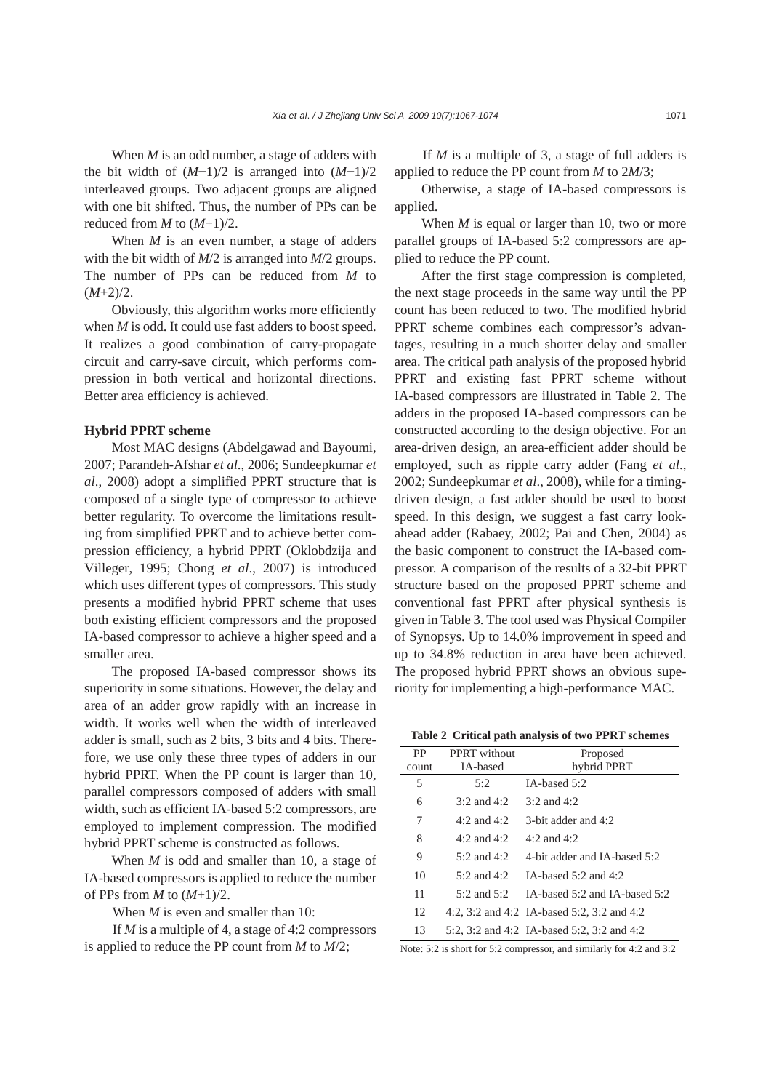When *M* is an odd number, a stage of adders with the bit width of  $(M-1)/2$  is arranged into  $(M-1)/2$ interleaved groups. Two adjacent groups are aligned with one bit shifted. Thus, the number of PPs can be reduced from *M* to (*M*+1)/2.

When *M* is an even number, a stage of adders with the bit width of *M*/2 is arranged into *M*/2 groups. The number of PPs can be reduced from *M* to  $(M+2)/2$ .

Obviously, this algorithm works more efficiently when *M* is odd. It could use fast adders to boost speed. It realizes a good combination of carry-propagate circuit and carry-save circuit, which performs compression in both vertical and horizontal directions. Better area efficiency is achieved.

#### **Hybrid PPRT scheme**

Most MAC designs (Abdelgawad and Bayoumi, 2007; Parandeh-Afshar *et al*., 2006; Sundeepkumar *et al*., 2008) adopt a simplified PPRT structure that is composed of a single type of compressor to achieve better regularity. To overcome the limitations resulting from simplified PPRT and to achieve better compression efficiency, a hybrid PPRT (Oklobdzija and Villeger, 1995; Chong *et al*., 2007) is introduced which uses different types of compressors. This study presents a modified hybrid PPRT scheme that uses both existing efficient compressors and the proposed IA-based compressor to achieve a higher speed and a smaller area.

The proposed IA-based compressor shows its superiority in some situations. However, the delay and area of an adder grow rapidly with an increase in width. It works well when the width of interleaved adder is small, such as 2 bits, 3 bits and 4 bits. Therefore, we use only these three types of adders in our hybrid PPRT. When the PP count is larger than 10, parallel compressors composed of adders with small width, such as efficient IA-based 5:2 compressors, are employed to implement compression. The modified hybrid PPRT scheme is constructed as follows.

When *M* is odd and smaller than 10, a stage of IA-based compressors is applied to reduce the number of PPs from *M* to (*M*+1)/2.

When *M* is even and smaller than 10:

If *M* is a multiple of 4, a stage of 4:2 compressors is applied to reduce the PP count from *M* to *M*/2;

If *M* is a multiple of 3, a stage of full adders is applied to reduce the PP count from *M* to 2*M*/3;

Otherwise, a stage of IA-based compressors is applied.

When *M* is equal or larger than 10, two or more parallel groups of IA-based 5:2 compressors are applied to reduce the PP count.

After the first stage compression is completed, the next stage proceeds in the same way until the PP count has been reduced to two. The modified hybrid PPRT scheme combines each compressor's advantages, resulting in a much shorter delay and smaller area. The critical path analysis of the proposed hybrid PPRT and existing fast PPRT scheme without IA-based compressors are illustrated in Table 2. The adders in the proposed IA-based compressors can be constructed according to the design objective. For an area-driven design, an area-efficient adder should be employed, such as ripple carry adder (Fang *et al*., 2002; Sundeepkumar *et al*., 2008), while for a timingdriven design, a fast adder should be used to boost speed. In this design, we suggest a fast carry lookahead adder (Rabaey, 2002; Pai and Chen, 2004) as the basic component to construct the IA-based compressor. A comparison of the results of a 32-bit PPRT structure based on the proposed PPRT scheme and conventional fast PPRT after physical synthesis is given in Table 3. The tool used was Physical Compiler of Synopsys. Up to 14.0% improvement in speed and up to 34.8% reduction in area have been achieved. The proposed hybrid PPRT shows an obvious superiority for implementing a high-performance MAC.

**Table 2 Critical path analysis of two PPRT schemes**

| <b>PP</b> | <b>PPRT</b> without | Proposed                                   |
|-----------|---------------------|--------------------------------------------|
| count     | IA-based            | hybrid PPRT                                |
| 5         | 5:2                 | IA-based 5:2                               |
| 6         | $3:2$ and $4:2$     | $3:2$ and $4:2$                            |
| 7         | 4:2 and $4:2$       | 3-bit adder and $4:2$                      |
| 8         | 4:2 and $4:2$       | 4:2 and 4:2                                |
| 9         | 5:2 and $4:2$       | 4-bit adder and IA-based 5:2               |
| 10        | 5:2 and $4:2$       | IA-based $5:2$ and $4:2$                   |
| 11        | 5:2 and $5:2$       | IA-based 5:2 and IA-based 5:2              |
| 12        |                     | 4:2, 3:2 and 4:2 IA-based 5:2, 3:2 and 4:2 |
| 13        |                     | 5:2, 3:2 and 4:2 IA-based 5:2, 3:2 and 4:2 |

Note: 5:2 is short for 5:2 compressor, and similarly for 4:2 and 3:2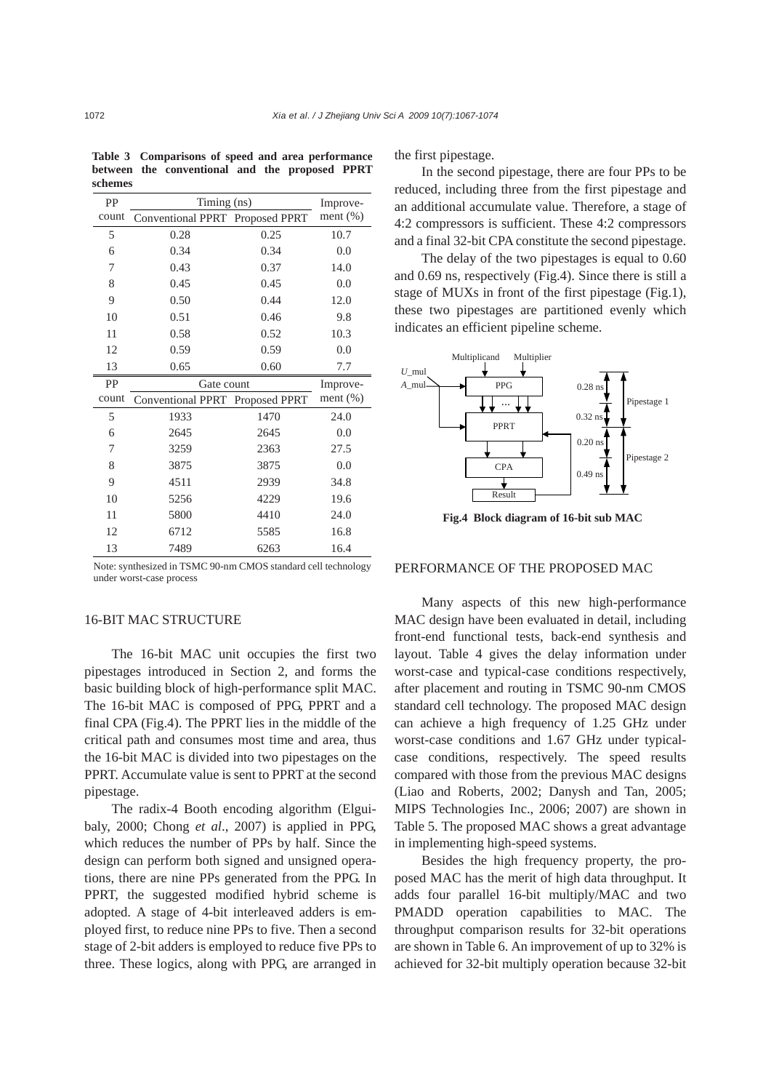**Table 3 Comparisons of speed and area performance between the conventional and the proposed PPRT schemes**

| PP    | Timing (ns)                     | Improve- |             |
|-------|---------------------------------|----------|-------------|
| count | Conventional PPRT Proposed PPRT |          | ment $(\%)$ |
| 5     | 0.28                            | 0.25     | 10.7        |
| 6     | 0.34                            | 0.34     | 0.0         |
| 7     | 0.43                            | 0.37     | 14.0        |
| 8     | 0.45                            | 0.45     | 0.0         |
| 9     | 0.50                            | 0.44     | 12.0        |
| 10    | 0.51                            | 0.46     | 9.8         |
| 11    | 0.58                            | 0.52     | 10.3        |
| 12    | 0.59                            | 0.59     | 0.0         |
| 13    | 0.65                            | 0.60     | 7.7         |
|       |                                 |          |             |
| PP    | Gate count                      |          | Improve-    |
| count | Conventional PPRT Proposed PPRT |          | ment $(\%)$ |
| 5     | 1933                            | 1470     | 24.0        |
| 6     | 2645                            | 2645     | 0.0         |
| 7     | 3259                            | 2363     | 27.5        |
| 8     | 3875                            | 3875     | 0.0         |
| 9     | 4511                            | 2939     | 34.8        |
| 10    | 5256                            | 4229     | 19.6        |
| 11    | 5800                            | 4410     | 24.0        |
| 12    | 6712                            | 5585     | 16.8        |

Note: synthesized in TSMC 90-nm CMOS standard cell technology under worst-case process

#### 16-BIT MAC STRUCTURE

The 16-bit MAC unit occupies the first two pipestages introduced in Section 2, and forms the basic building block of high-performance split MAC. The 16-bit MAC is composed of PPG, PPRT and a final CPA (Fig.4). The PPRT lies in the middle of the critical path and consumes most time and area, thus the 16-bit MAC is divided into two pipestages on the PPRT. Accumulate value is sent to PPRT at the second pipestage.

The radix-4 Booth encoding algorithm (Elguibaly, 2000; Chong *et al*., 2007) is applied in PPG, which reduces the number of PPs by half. Since the design can perform both signed and unsigned operations, there are nine PPs generated from the PPG. In PPRT, the suggested modified hybrid scheme is adopted. A stage of 4-bit interleaved adders is employed first, to reduce nine PPs to five. Then a second stage of 2-bit adders is employed to reduce five PPs to three. These logics, along with PPG, are arranged in the first pipestage.

In the second pipestage, there are four PPs to be reduced, including three from the first pipestage and an additional accumulate value. Therefore, a stage of 4:2 compressors is sufficient. These 4:2 compressors and a final 32-bit CPA constitute the second pipestage.

The delay of the two pipestages is equal to 0.60 and 0.69 ns, respectively (Fig.4). Since there is still a stage of MUXs in front of the first pipestage (Fig.1), these two pipestages are partitioned evenly which indicates an efficient pipeline scheme.



**Fig.4 Block diagram of 16-bit sub MAC** 

#### PERFORMANCE OF THE PROPOSED MAC

Many aspects of this new high-performance MAC design have been evaluated in detail, including front-end functional tests, back-end synthesis and layout. Table 4 gives the delay information under worst-case and typical-case conditions respectively, after placement and routing in TSMC 90-nm CMOS standard cell technology. The proposed MAC design can achieve a high frequency of 1.25 GHz under worst-case conditions and 1.67 GHz under typicalcase conditions, respectively. The speed results compared with those from the previous MAC designs (Liao and Roberts, 2002; Danysh and Tan, 2005; MIPS Technologies Inc., 2006; 2007) are shown in Table 5. The proposed MAC shows a great advantage in implementing high-speed systems.

Besides the high frequency property, the proposed MAC has the merit of high data throughput. It adds four parallel 16-bit multiply/MAC and two PMADD operation capabilities to MAC. The throughput comparison results for 32-bit operations are shown in Table 6. An improvement of up to 32% is achieved for 32-bit multiply operation because 32-bit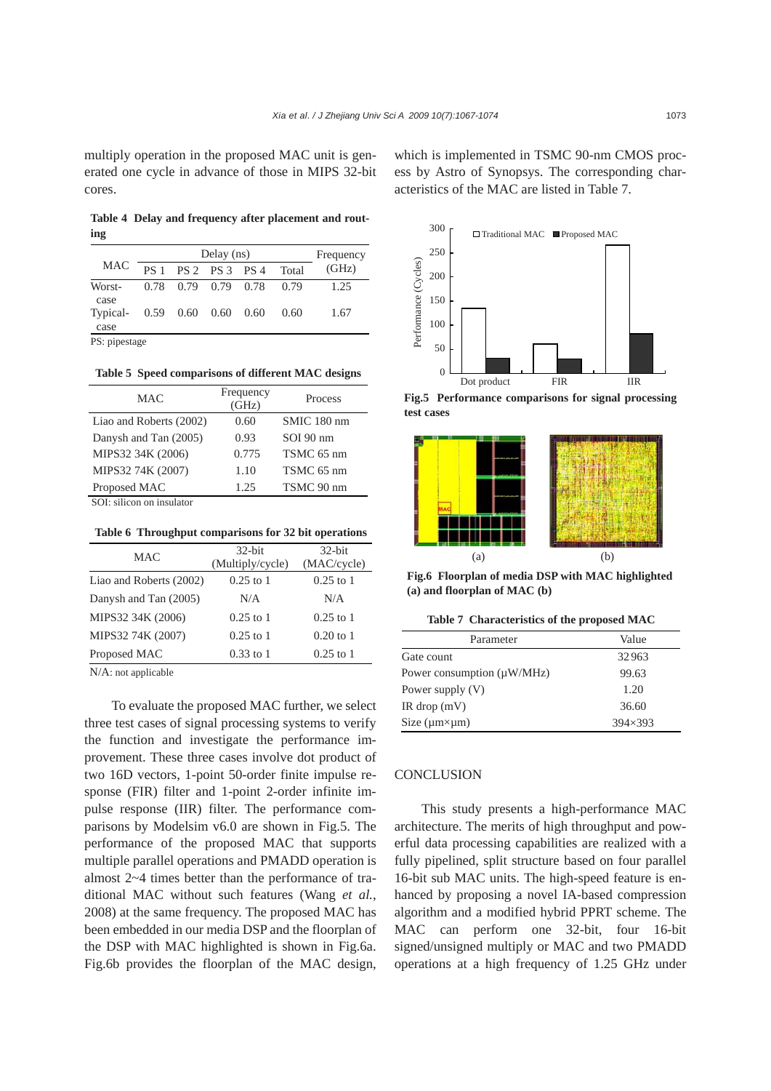multiply operation in the proposed MAC unit is generated one cycle in advance of those in MIPS 32-bit cores.

**Table 4 Delay and frequency after placement and routing** 

|                                              | Delay $(ns)$ |                     |  |  |       | Frequency |  |
|----------------------------------------------|--------------|---------------------|--|--|-------|-----------|--|
| MAC                                          | <b>PS</b> 1  | PS 2 PS 3 PS 4      |  |  | Total | (GHz)     |  |
| Worst-                                       |              | 0.78 0.79 0.79 0.78 |  |  | 0.79  | 1.25      |  |
| case<br>Typical- 0.59 0.60 0.60 0.60<br>case |              |                     |  |  | 0.60  | 1.67      |  |
| PS: pipestage                                |              |                     |  |  |       |           |  |

**Table 5 Speed comparisons of different MAC designs** 

| <b>MAC</b>                                     | Frequency<br>(GHz) | Process     |  |
|------------------------------------------------|--------------------|-------------|--|
| Liao and Roberts (2002)                        | 0.60               | SMIC 180 nm |  |
| Danysh and Tan (2005)                          | 0.93               | SOI 90 nm   |  |
| MIPS32 34K (2006)                              | 0.775              | TSMC 65 nm  |  |
| MIPS32 74K (2007)                              | 1.10               | TSMC 65 nm  |  |
| Proposed MAC                                   | 1.25               | TSMC 90 nm  |  |
| $\mathcal{R}$ $\Omega$ is eiticon on inculator |                    |             |  |

SOI: silicon on insulator

**Table 6 Throughput comparisons for 32 bit operations**

| MAC                     | $32$ -bit        | $32$ -bit            |  |
|-------------------------|------------------|----------------------|--|
|                         | (Multiply/cycle) | (MAC/cycle)          |  |
| Liao and Roberts (2002) | $0.25$ to 1      | $0.25$ to 1          |  |
| Danysh and Tan (2005)   | N/A              | N/A                  |  |
| MIPS32 34K (2006)       | $0.25$ to 1      | $0.25$ to 1          |  |
| MIPS32 74K (2007)       | $0.25$ to 1      | $0.20 \text{ to } 1$ |  |
| Proposed MAC            | $0.33$ to 1      | $0.25$ to 1          |  |
|                         |                  |                      |  |

N/A: not applicable

To evaluate the proposed MAC further, we select three test cases of signal processing systems to verify the function and investigate the performance improvement. These three cases involve dot product of two 16D vectors, 1-point 50-order finite impulse response (FIR) filter and 1-point 2-order infinite impulse response (IIR) filter. The performance comparisons by Modelsim v6.0 are shown in Fig.5. The performance of the proposed MAC that supports multiple parallel operations and PMADD operation is almost 2~4 times better than the performance of traditional MAC without such features (Wang *et al.*, 2008) at the same frequency. The proposed MAC has been embedded in our media DSP and the floorplan of the DSP with MAC highlighted is shown in Fig.6a. Fig.6b provides the floorplan of the MAC design,

which is implemented in TSMC 90-nm CMOS process by Astro of Synopsys. The corresponding characteristics of the MAC are listed in Table 7.



**Fig.5 Performance comparisons for signal processing test cases** 



**Fig.6 Floorplan of media DSP with MAC highlighted (a) and floorplan of MAC (b)** 

|  | Table 7 Characteristics of the proposed MAC |  |  |  |
|--|---------------------------------------------|--|--|--|
|--|---------------------------------------------|--|--|--|

| Parameter                       | Value          |
|---------------------------------|----------------|
| Gate count                      | 32963          |
| Power consumption $(\mu W/MHz)$ | 99.63          |
| Power supply (V)                | 1.20           |
| IR drop $(mV)$                  | 36.60          |
| Size $(\mu m \times \mu m)$     | $394\times393$ |

## **CONCLUSION**

This study presents a high-performance MAC architecture. The merits of high throughput and powerful data processing capabilities are realized with a fully pipelined, split structure based on four parallel 16-bit sub MAC units. The high-speed feature is enhanced by proposing a novel IA-based compression algorithm and a modified hybrid PPRT scheme. The MAC can perform one 32-bit, four 16-bit signed/unsigned multiply or MAC and two PMADD operations at a high frequency of 1.25 GHz under